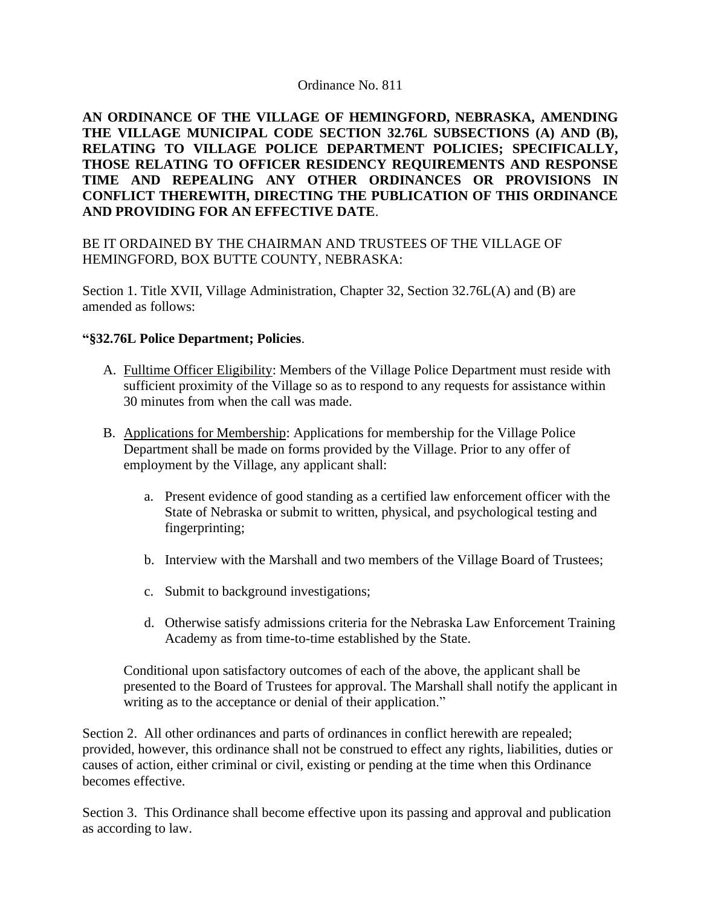**AN ORDINANCE OF THE VILLAGE OF HEMINGFORD, NEBRASKA, AMENDING THE VILLAGE MUNICIPAL CODE SECTION 32.76L SUBSECTIONS (A) AND (B), RELATING TO VILLAGE POLICE DEPARTMENT POLICIES; SPECIFICALLY, THOSE RELATING TO OFFICER RESIDENCY REQUIREMENTS AND RESPONSE TIME AND REPEALING ANY OTHER ORDINANCES OR PROVISIONS IN CONFLICT THEREWITH, DIRECTING THE PUBLICATION OF THIS ORDINANCE AND PROVIDING FOR AN EFFECTIVE DATE**.

# BE IT ORDAINED BY THE CHAIRMAN AND TRUSTEES OF THE VILLAGE OF HEMINGFORD, BOX BUTTE COUNTY, NEBRASKA:

Section 1. Title XVII, Village Administration, Chapter 32, Section 32.76L(A) and (B) are amended as follows:

## **"§32.76L Police Department; Policies**.

- A. Fulltime Officer Eligibility: Members of the Village Police Department must reside with sufficient proximity of the Village so as to respond to any requests for assistance within 30 minutes from when the call was made.
- B. Applications for Membership: Applications for membership for the Village Police Department shall be made on forms provided by the Village. Prior to any offer of employment by the Village, any applicant shall:
	- a. Present evidence of good standing as a certified law enforcement officer with the State of Nebraska or submit to written, physical, and psychological testing and fingerprinting;
	- b. Interview with the Marshall and two members of the Village Board of Trustees;
	- c. Submit to background investigations;
	- d. Otherwise satisfy admissions criteria for the Nebraska Law Enforcement Training Academy as from time-to-time established by the State.

Conditional upon satisfactory outcomes of each of the above, the applicant shall be presented to the Board of Trustees for approval. The Marshall shall notify the applicant in writing as to the acceptance or denial of their application."

Section 2. All other ordinances and parts of ordinances in conflict herewith are repealed; provided, however, this ordinance shall not be construed to effect any rights, liabilities, duties or causes of action, either criminal or civil, existing or pending at the time when this Ordinance becomes effective.

Section 3. This Ordinance shall become effective upon its passing and approval and publication as according to law.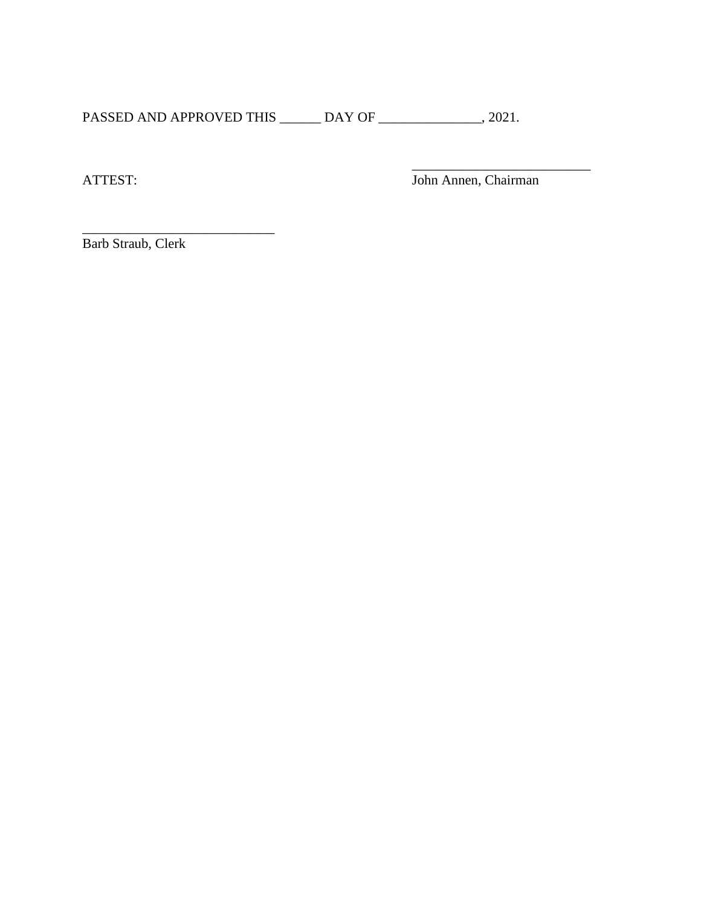PASSED AND APPROVED THIS \_\_\_\_\_\_ DAY OF \_\_\_\_\_\_\_\_\_\_\_\_\_\_, 2021.

 $\overline{\phantom{a}}$  , which is a set of the set of the set of the set of the set of the set of the set of the set of the set of the set of the set of the set of the set of the set of the set of the set of the set of the set of th

ATTEST: John Annen, Chairman

Barb Straub, Clerk

 $\overline{\phantom{a}}$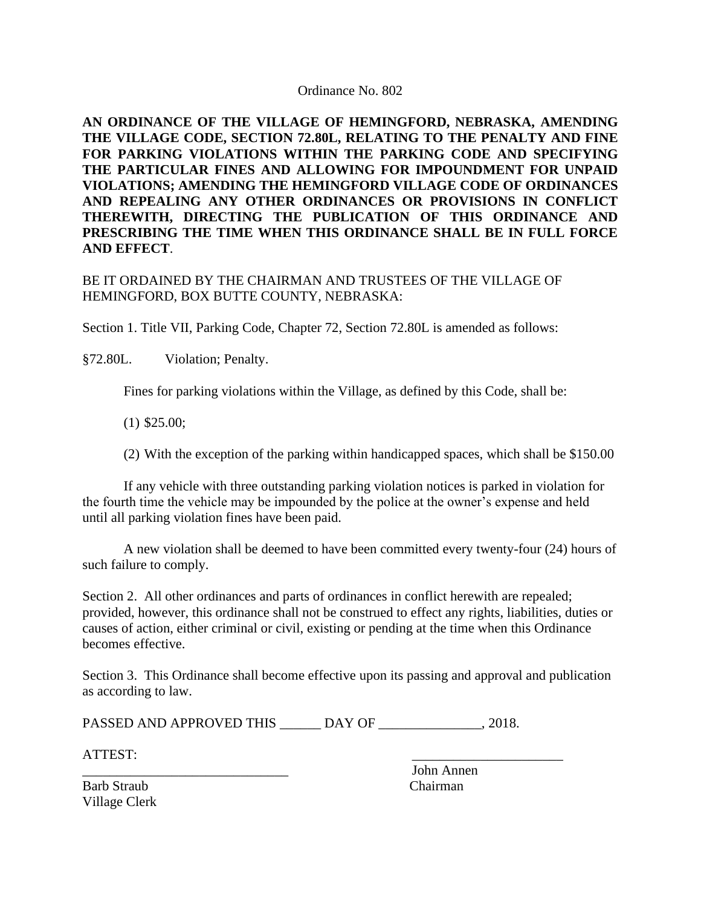**AN ORDINANCE OF THE VILLAGE OF HEMINGFORD, NEBRASKA, AMENDING THE VILLAGE CODE, SECTION 72.80L, RELATING TO THE PENALTY AND FINE FOR PARKING VIOLATIONS WITHIN THE PARKING CODE AND SPECIFYING THE PARTICULAR FINES AND ALLOWING FOR IMPOUNDMENT FOR UNPAID VIOLATIONS; AMENDING THE HEMINGFORD VILLAGE CODE OF ORDINANCES AND REPEALING ANY OTHER ORDINANCES OR PROVISIONS IN CONFLICT THEREWITH, DIRECTING THE PUBLICATION OF THIS ORDINANCE AND PRESCRIBING THE TIME WHEN THIS ORDINANCE SHALL BE IN FULL FORCE AND EFFECT**.

## BE IT ORDAINED BY THE CHAIRMAN AND TRUSTEES OF THE VILLAGE OF HEMINGFORD, BOX BUTTE COUNTY, NEBRASKA:

Section 1. Title VII, Parking Code, Chapter 72, Section 72.80L is amended as follows:

§72.80L. Violation; Penalty.

Fines for parking violations within the Village, as defined by this Code, shall be:

(1) \$25.00;

(2) With the exception of the parking within handicapped spaces, which shall be \$150.00

If any vehicle with three outstanding parking violation notices is parked in violation for the fourth time the vehicle may be impounded by the police at the owner's expense and held until all parking violation fines have been paid.

A new violation shall be deemed to have been committed every twenty-four (24) hours of such failure to comply.

Section 2. All other ordinances and parts of ordinances in conflict herewith are repealed; provided, however, this ordinance shall not be construed to effect any rights, liabilities, duties or causes of action, either criminal or civil, existing or pending at the time when this Ordinance becomes effective.

Section 3. This Ordinance shall become effective upon its passing and approval and publication as according to law.

PASSED AND APPROVED THIS \_\_\_\_\_\_ DAY OF \_\_\_\_\_\_\_\_\_\_\_\_\_\_\_, 2018.

ATTEST: \_\_\_\_\_\_\_\_\_\_\_\_\_\_\_\_\_\_\_\_\_\_

\_\_\_\_\_\_\_\_\_\_\_\_\_\_\_\_\_\_\_\_\_\_\_\_\_\_\_\_\_\_ John Annen

Barb Straub Chairman Village Clerk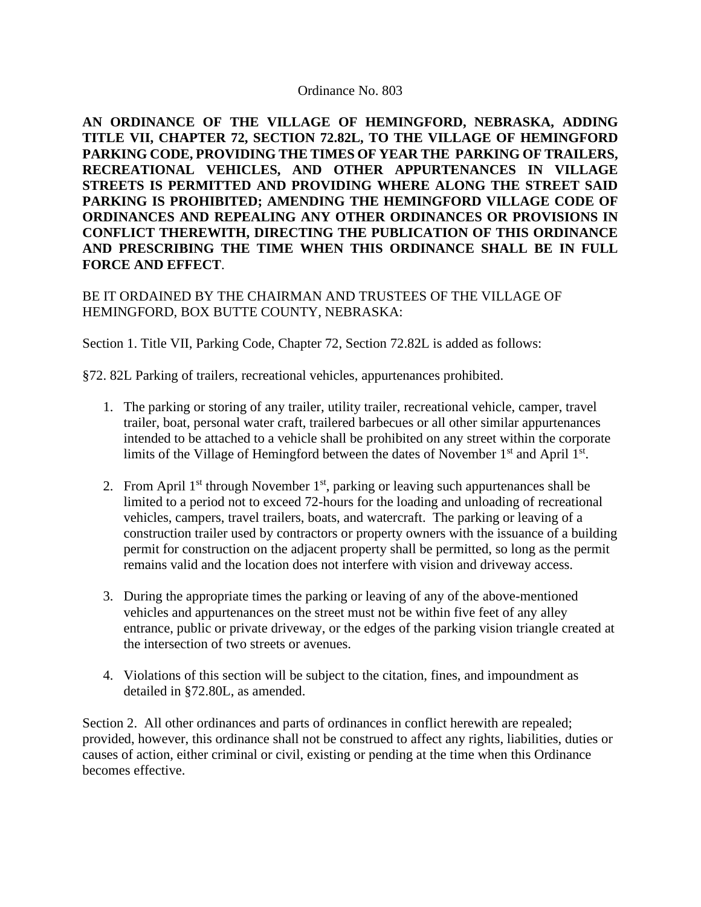**AN ORDINANCE OF THE VILLAGE OF HEMINGFORD, NEBRASKA, ADDING TITLE VII, CHAPTER 72, SECTION 72.82L, TO THE VILLAGE OF HEMINGFORD PARKING CODE, PROVIDING THE TIMES OF YEAR THE PARKING OF TRAILERS, RECREATIONAL VEHICLES, AND OTHER APPURTENANCES IN VILLAGE STREETS IS PERMITTED AND PROVIDING WHERE ALONG THE STREET SAID PARKING IS PROHIBITED; AMENDING THE HEMINGFORD VILLAGE CODE OF ORDINANCES AND REPEALING ANY OTHER ORDINANCES OR PROVISIONS IN CONFLICT THEREWITH, DIRECTING THE PUBLICATION OF THIS ORDINANCE AND PRESCRIBING THE TIME WHEN THIS ORDINANCE SHALL BE IN FULL FORCE AND EFFECT**.

BE IT ORDAINED BY THE CHAIRMAN AND TRUSTEES OF THE VILLAGE OF HEMINGFORD, BOX BUTTE COUNTY, NEBRASKA:

Section 1. Title VII, Parking Code, Chapter 72, Section 72.82L is added as follows:

§72. 82L Parking of trailers, recreational vehicles, appurtenances prohibited.

- 1. The parking or storing of any trailer, utility trailer, recreational vehicle, camper, travel trailer, boat, personal water craft, trailered barbecues or all other similar appurtenances intended to be attached to a vehicle shall be prohibited on any street within the corporate limits of the Village of Hemingford between the dates of November  $1<sup>st</sup>$  and April  $1<sup>st</sup>$ .
- 2. From April  $1<sup>st</sup>$  through November  $1<sup>st</sup>$ , parking or leaving such appurtenances shall be limited to a period not to exceed 72-hours for the loading and unloading of recreational vehicles, campers, travel trailers, boats, and watercraft. The parking or leaving of a construction trailer used by contractors or property owners with the issuance of a building permit for construction on the adjacent property shall be permitted, so long as the permit remains valid and the location does not interfere with vision and driveway access.
- 3. During the appropriate times the parking or leaving of any of the above-mentioned vehicles and appurtenances on the street must not be within five feet of any alley entrance, public or private driveway, or the edges of the parking vision triangle created at the intersection of two streets or avenues.
- 4. Violations of this section will be subject to the citation, fines, and impoundment as detailed in §72.80L, as amended.

Section 2. All other ordinances and parts of ordinances in conflict herewith are repealed; provided, however, this ordinance shall not be construed to affect any rights, liabilities, duties or causes of action, either criminal or civil, existing or pending at the time when this Ordinance becomes effective.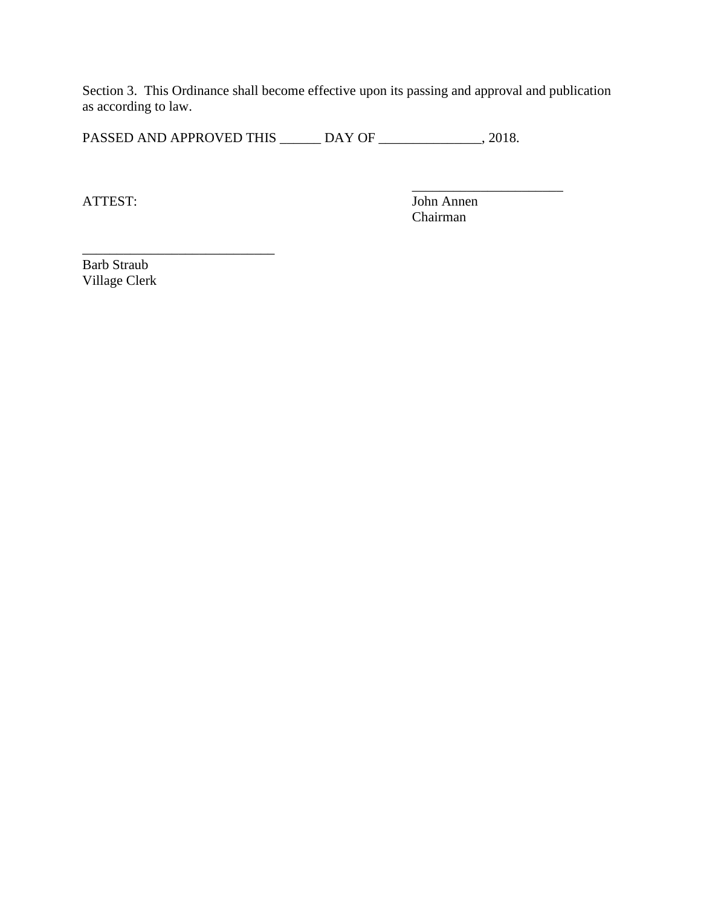Section 3. This Ordinance shall become effective upon its passing and approval and publication as according to law.

PASSED AND APPROVED THIS \_\_\_\_\_\_ DAY OF \_\_\_\_\_\_\_\_\_\_\_\_\_\_, 2018.

 $\mathcal{L}_\text{max}$  , and the contract of the contract of the contract of the contract of the contract of the contract of the contract of the contract of the contract of the contract of the contract of the contract of the contr

ATTEST: John Annen Chairman

Barb Straub Village Clerk

 $\mathcal{L}=\mathcal{L}=\mathcal{L}=\mathcal{L}=\mathcal{L}=\mathcal{L}=\mathcal{L}=\mathcal{L}=\mathcal{L}=\mathcal{L}=\mathcal{L}=\mathcal{L}=\mathcal{L}=\mathcal{L}=\mathcal{L}=\mathcal{L}=\mathcal{L}=\mathcal{L}=\mathcal{L}=\mathcal{L}=\mathcal{L}=\mathcal{L}=\mathcal{L}=\mathcal{L}=\mathcal{L}=\mathcal{L}=\mathcal{L}=\mathcal{L}=\mathcal{L}=\mathcal{L}=\mathcal{L}=\mathcal{L}=\mathcal{L}=\mathcal{L}=\mathcal{L}=\mathcal{L}=\mathcal{$